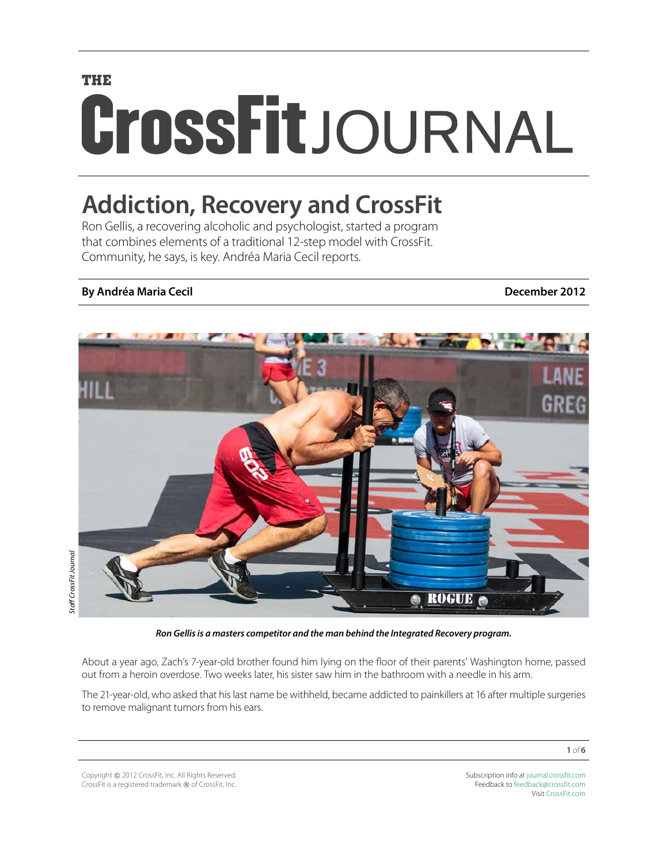# **THE** CrossFitJOURNAL

# **Addiction, Recovery and CrossFit**

Ron Gellis, a recovering alcoholic and psychologist, started a program that combines elements of a traditional 12-step model with CrossFit. Community, he says, is key. Andréa Maria Cecil reports.

#### **By Andréa Maria Cecil December 2012**



*Ron Gellis is a masters competitor and the man behind the Integrated Recovery program.*

About a year ago, Zach's 7-year-old brother found him lying on the floor of their parents' Washington home, passed out from a heroin overdose. Two weeks later, his sister saw him in the bathroom with a needle in his arm.

The 21-year-old, who asked that his last name be withheld, became addicted to painkillers at 16 after multiple surgeries to remove malignant tumors from his ears.

Copyright © 2012 CrossFit, Inc. All Rights Reserved. CrossFit is a registered trademark ® of CrossFit, Inc. Subscription info at [journal.crossfit.com](http://journal.crossfit.com) Feedback to [feedback@crossfit.com](mailto:feedback@crossfit.com) Visit [CrossFit.com](http://www.crossfit.com)

**1** *of* **6**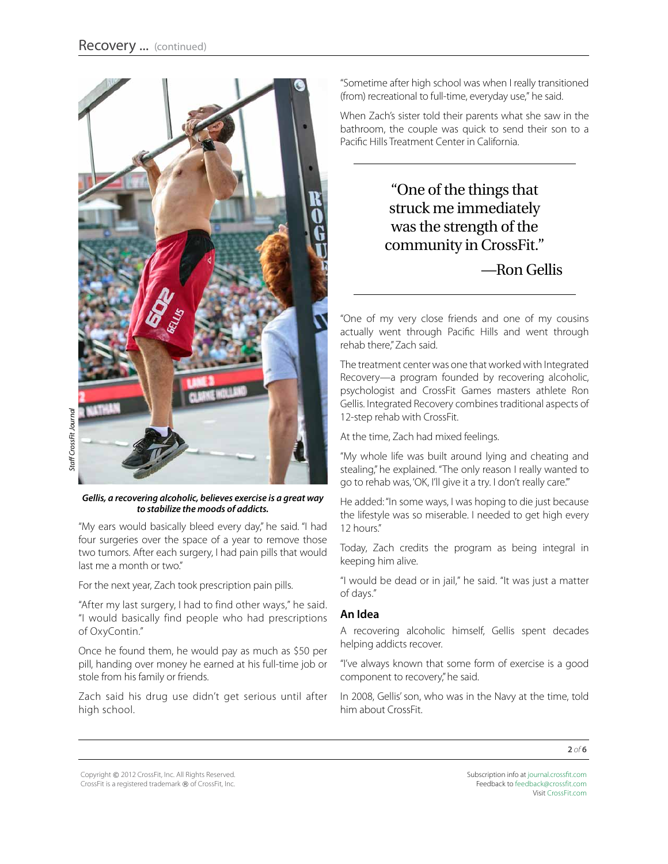

#### *Gellis, a recovering alcoholic, believes exercise is a great way to stabilize the moods of addicts.*

"My ears would basically bleed every day," he said. "I had four surgeries over the space of a year to remove those two tumors. After each surgery, I had pain pills that would last me a month or two."

For the next year, Zach took prescription pain pills.

"After my last surgery, I had to find other ways," he said. "I would basically find people who had prescriptions of OxyContin."

Once he found them, he would pay as much as \$50 per pill, handing over money he earned at his full-time job or stole from his family or friends.

Zach said his drug use didn't get serious until after high school.

"Sometime after high school was when I really transitioned (from) recreational to full-time, everyday use," he said.

When Zach's sister told their parents what she saw in the bathroom, the couple was quick to send their son to a Pacific Hills Treatment Center in California.

> "One of the things that struck me immediately was the strength of the community in CrossFit."

> > —Ron Gellis

"One of my very close friends and one of my cousins actually went through Pacific Hills and went through rehab there." Zach said.

The treatment center was one that worked with Integrated Recovery—a program founded by recovering alcoholic, psychologist and CrossFit Games masters athlete Ron Gellis. Integrated Recovery combines traditional aspects of 12-step rehab with CrossFit.

At the time, Zach had mixed feelings.

"My whole life was built around lying and cheating and stealing," he explained. "The only reason I really wanted to go to rehab was, 'OK, I'll give it a try. I don't really care.'"

He added: "In some ways, I was hoping to die just because the lifestyle was so miserable. I needed to get high every 12 hours."

Today, Zach credits the program as being integral in keeping him alive.

"I would be dead or in jail," he said. "It was just a matter of days."

#### **An Idea**

A recovering alcoholic himself, Gellis spent decades helping addicts recover.

"I've always known that some form of exercise is a good component to recovery," he said.

In 2008, Gellis' son, who was in the Navy at the time, told him about CrossFit.

Copyright © 2012 CrossFit, Inc. All Rights Reserved. CrossFit is a registered trademark ® of CrossFit, Inc. Subscription info at [journal.crossfit.com](http://journal.crossfit.com) Feedback to [feedback@crossfit.com](mailto:feedback@crossfit.com) Visit [CrossFit.com](http://www.crossfit.com)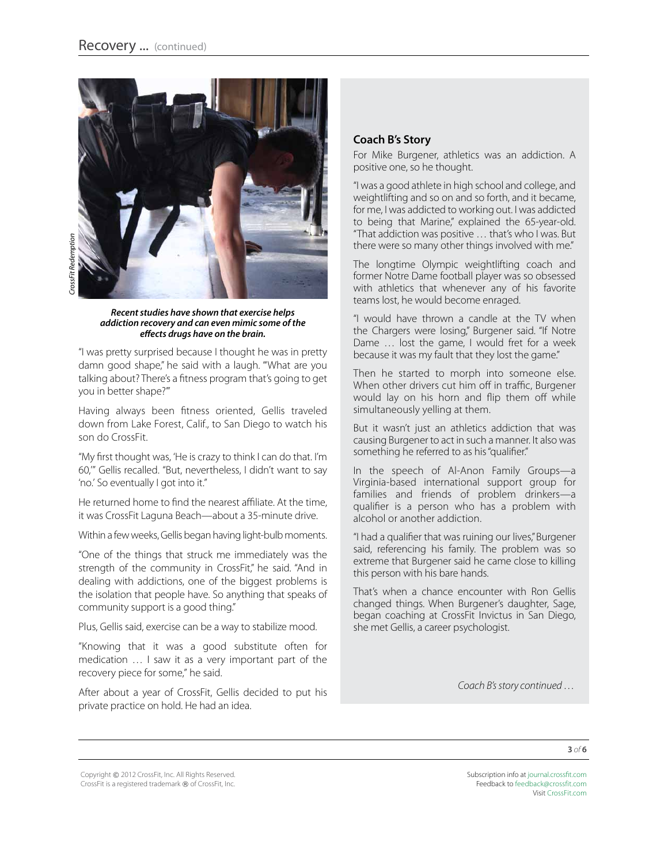

*Recent studies have shown that exercise helps addiction recovery and can even mimic some of the effects drugs have on the brain.* 

"I was pretty surprised because I thought he was in pretty damn good shape," he said with a laugh. "'What are you talking about? There's a fitness program that's going to get you in better shape?'"

Having always been fitness oriented, Gellis traveled down from Lake Forest, Calif., to San Diego to watch his son do CrossFit.

"My first thought was, 'He is crazy to think I can do that. I'm 60,'" Gellis recalled. "But, nevertheless, I didn't want to say 'no.' So eventually I got into it."

He returned home to find the nearest affiliate. At the time, it was CrossFit Laguna Beach—about a 35-minute drive.

Within a few weeks, Gellis began having light-bulb moments.

"One of the things that struck me immediately was the strength of the community in CrossFit," he said. "And in dealing with addictions, one of the biggest problems is the isolation that people have. So anything that speaks of community support is a good thing."

Plus, Gellis said, exercise can be a way to stabilize mood.

"Knowing that it was a good substitute often for medication … I saw it as a very important part of the recovery piece for some," he said.

After about a year of CrossFit, Gellis decided to put his private practice on hold. He had an idea.

#### **Coach B's Story**

For Mike Burgener, athletics was an addiction. A positive one, so he thought.

"I was a good athlete in high school and college, and weightlifting and so on and so forth, and it became, for me, I was addicted to working out. I was addicted to being that Marine," explained the 65-year-old. "That addiction was positive … that's who I was. But there were so many other things involved with me."

The longtime Olympic weightlifting coach and former Notre Dame football player was so obsessed with athletics that whenever any of his favorite teams lost, he would become enraged.

"I would have thrown a candle at the TV when the Chargers were losing," Burgener said. "If Notre Dame … lost the game, I would fret for a week because it was my fault that they lost the game."

Then he started to morph into someone else. When other drivers cut him off in traffic, Burgener would lay on his horn and flip them off while simultaneously yelling at them.

But it wasn't just an athletics addiction that was causing Burgener to act in such a manner. It also was something he referred to as his "qualifier."

In the speech of Al-Anon Family Groups—a Virginia-based international support group for families and friends of problem drinkers—a qualifier is a person who has a problem with alcohol or another addiction.

"I had a qualifier that was ruining our lives," Burgener said, referencing his family. The problem was so extreme that Burgener said he came close to killing this person with his bare hands.

That's when a chance encounter with Ron Gellis changed things. When Burgener's daughter, Sage, began coaching at CrossFit Invictus in San Diego, she met Gellis, a career psychologist.

*Coach B's story continued …*

Copyright © 2012 CrossFit, Inc. All Rights Reserved. CrossFit is a registered trademark ® of CrossFit, Inc. Subscription info at [journal.crossfit.com](http://journal.crossfit.com) Feedback to [feedback@crossfit.com](mailto:feedback@crossfit.com) Visit [CrossFit.com](http://www.crossfit.com)

**3** *of* **6**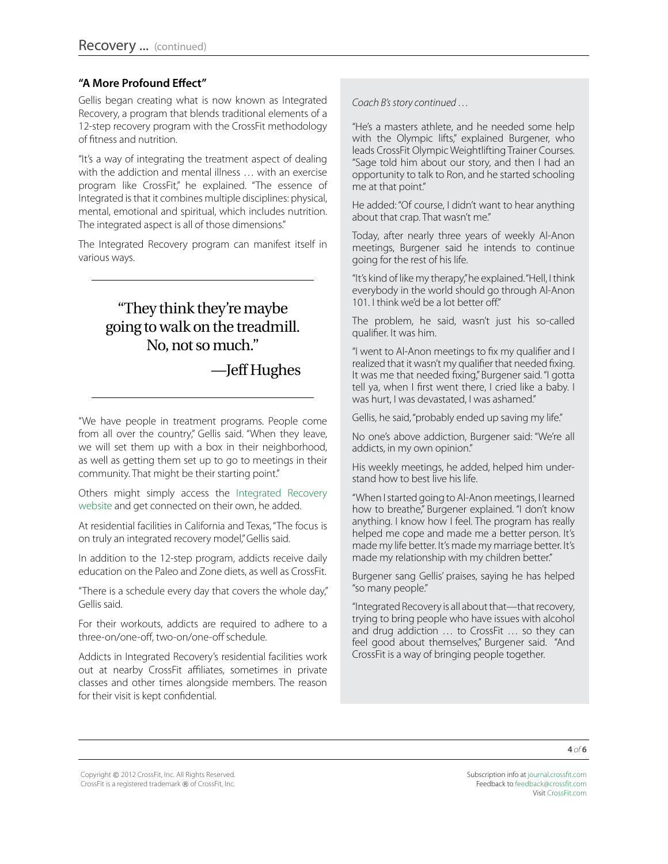#### **"A More Profound Effect"**

Gellis began creating what is now known as Integrated Recovery, a program that blends traditional elements of a 12-step recovery program with the CrossFit methodology of fitness and nutrition.

"It's a way of integrating the treatment aspect of dealing with the addiction and mental illness … with an exercise program like CrossFit," he explained. "The essence of Integrated is that it combines multiple disciplines: physical, mental, emotional and spiritual, which includes nutrition. The integrated aspect is all of those dimensions."

The Integrated Recovery program can manifest itself in various ways.

# "They think they're maybe going to walk on the treadmill. No, not so much."

### —Jeff Hughes

"We have people in treatment programs. People come from all over the country," Gellis said. "When they leave, we will set them up with a box in their neighborhood, as well as getting them set up to go to meetings in their community. That might be their starting point."

Others might simply access the [Integrated Recovery](http://www.integrated-recovery.com/page/index.php?menu=about&page=about_integrated_recovery) [website](http://www.integrated-recovery.com/page/index.php?menu=about&page=about_integrated_recovery) and get connected on their own, he added.

At residential facilities in California and Texas, "The focus is on truly an integrated recovery model," Gellis said.

In addition to the 12-step program, addicts receive daily education on the Paleo and Zone diets, as well as CrossFit.

"There is a schedule every day that covers the whole day," Gellis said.

For their workouts, addicts are required to adhere to a three-on/one-off, two-on/one-off schedule.

Addicts in Integrated Recovery's residential facilities work out at nearby CrossFit affiliates, sometimes in private classes and other times alongside members. The reason for their visit is kept confidential.

*Coach B's story continued …*

"He's a masters athlete, and he needed some help with the Olympic lifts," explained Burgener, who leads CrossFit Olympic Weightlifting Trainer Courses. "Sage told him about our story, and then I had an opportunity to talk to Ron, and he started schooling me at that point."

He added: "Of course, I didn't want to hear anything about that crap. That wasn't me."

Today, after nearly three years of weekly Al-Anon meetings, Burgener said he intends to continue going for the rest of his life.

"It's kind of like my therapy," he explained. "Hell, I think everybody in the world should go through Al-Anon 101. I think we'd be a lot better off."

The problem, he said, wasn't just his so-called qualifier. It was him.

"I went to Al-Anon meetings to fix my qualifier and I realized that it wasn't my qualifier that needed fixing. It was me that needed fixing," Burgener said. "I gotta tell ya, when I first went there, I cried like a baby. I was hurt, I was devastated, I was ashamed."

Gellis, he said, "probably ended up saving my life."

No one's above addiction, Burgener said: "We're all addicts, in my own opinion."

His weekly meetings, he added, helped him understand how to best live his life.

"When I started going to Al-Anon meetings, I learned how to breathe," Burgener explained. "I don't know anything. I know how I feel. The program has really helped me cope and made me a better person. It's made my life better. It's made my marriage better. It's made my relationship with my children better."

Burgener sang Gellis' praises, saying he has helped "so many people."

"Integrated Recovery is all about that—that recovery, trying to bring people who have issues with alcohol and drug addiction … to CrossFit … so they can feel good about themselves," Burgener said. "And CrossFit is a way of bringing people together.

Copyright © 2012 CrossFit, Inc. All Rights Reserved. CrossFit is a registered trademark ® of CrossFit, Inc.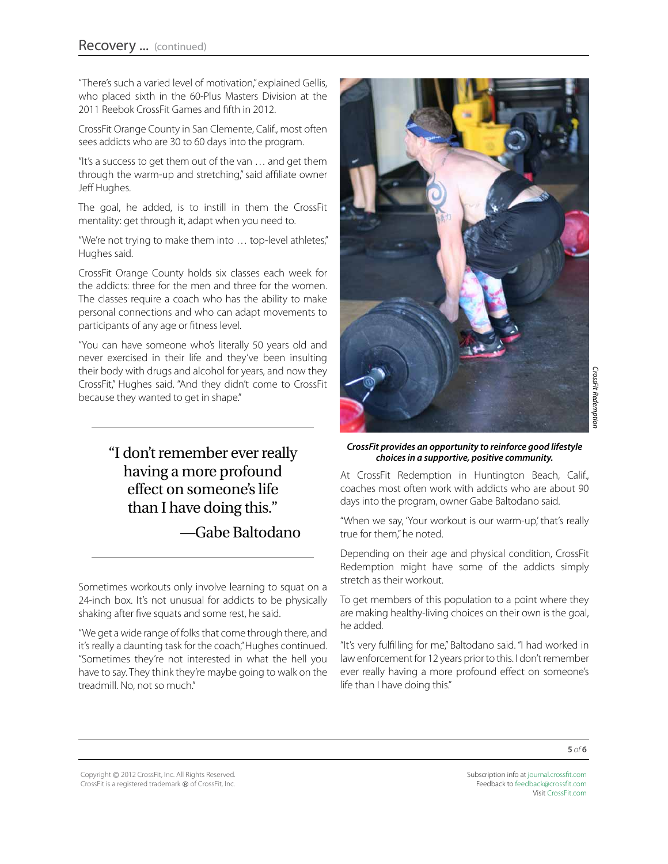"There's such a varied level of motivation," explained Gellis, who placed sixth in the 60-Plus Masters Division at the 2011 Reebok CrossFit Games and fifth in 2012.

CrossFit Orange County in San Clemente, Calif., most often sees addicts who are 30 to 60 days into the program.

"It's a success to get them out of the van … and get them through the warm-up and stretching," said affiliate owner Jeff Hughes.

The goal, he added, is to instill in them the CrossFit mentality: get through it, adapt when you need to.

"We're not trying to make them into … top-level athletes," Hughes said.

CrossFit Orange County holds six classes each week for the addicts: three for the men and three for the women. The classes require a coach who has the ability to make personal connections and who can adapt movements to participants of any age or fitness level.

"You can have someone who's literally 50 years old and never exercised in their life and they've been insulting their body with drugs and alcohol for years, and now they CrossFit," Hughes said. "And they didn't come to CrossFit because they wanted to get in shape."

> "I don't remember ever really having a more profound effect on someone's life than I have doing this."

> > —Gabe Baltodano

Sometimes workouts only involve learning to squat on a 24-inch box. It's not unusual for addicts to be physically shaking after five squats and some rest, he said.

"We get a wide range of folks that come through there, and it's really a daunting task for the coach," Hughes continued. "Sometimes they're not interested in what the hell you have to say. They think they're maybe going to walk on the treadmill. No, not so much."



#### *CrossFit provides an opportunity to reinforce good lifestyle choices in a supportive, positive community.*

At CrossFit Redemption in Huntington Beach, Calif., coaches most often work with addicts who are about 90 days into the program, owner Gabe Baltodano said.

"When we say, 'Your workout is our warm-up,' that's really true for them," he noted.

Depending on their age and physical condition, CrossFit Redemption might have some of the addicts simply stretch as their workout.

To get members of this population to a point where they are making healthy-living choices on their own is the goal, he added.

"It's very fulfilling for me," Baltodano said. "I had worked in law enforcement for 12 years prior to this. I don't remember ever really having a more profound effect on someone's life than I have doing this."

Copyright © 2012 CrossFit, Inc. All Rights Reserved. CrossFit is a registered trademark ® of CrossFit, Inc. Subscription info at [journal.crossfit.com](http://journal.crossfit.com) Feedback to [feedback@crossfit.com](mailto:feedback@crossfit.com) Visit [CrossFit.com](http://www.crossfit.com)